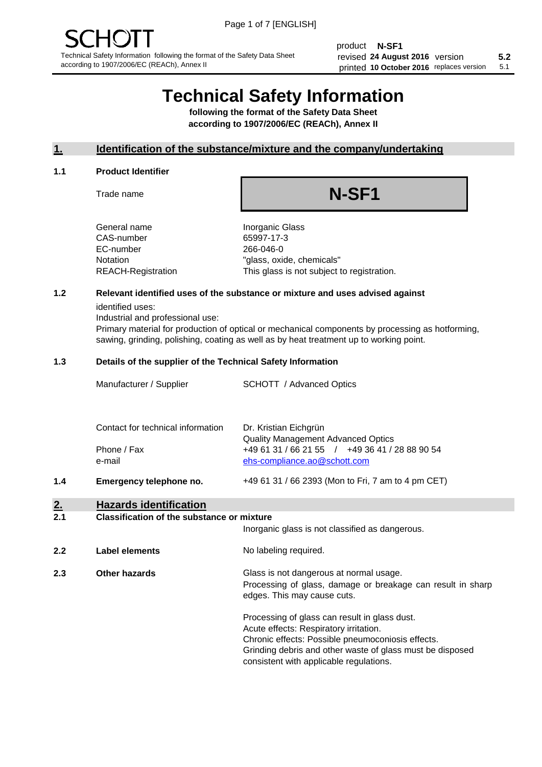product **N-SF1** revised **5.2 24 August 2016** version printed 10 October 2016 replaces version 5.1

# **Technical Safety Information**

**following the format of the Safety Data Sheet according to 1907/2006/EC (REACh), Annex II**

## **1. Identification of the substance/mixture and the company/undertaking**

## **1.1 Product Identifier**

Trade name

# **N-SF1**

+49 61 31 / 66 2393 (Mon to Fri, 7 am to 4 pm CET)

General name **Inorganic Glass** CAS-number 65997-17-3 EC-number 266-046-0

Notation "glass, oxide, chemicals" REACH-Registration This glass is not subject to registration.

## **1.2 Relevant identified uses of the substance or mixture and uses advised against**

identified uses:

Industrial and professional use:

Primary material for production of optical or mechanical components by processing as hotforming, sawing, grinding, polishing, coating as well as by heat treatment up to working point.

## **1.3 Details of the supplier of the Technical Safety Information**

| Manufacturer / Supplier           | <b>SCHOTT</b> / Advanced Optics                |
|-----------------------------------|------------------------------------------------|
| Contact for technical information | Dr. Kristian Eichgrün                          |
|                                   | <b>Quality Management Advanced Optics</b>      |
| Phone / Fax                       | +49 61 31 / 66 21 55 / +49 36 41 / 28 88 90 54 |
| e-mail                            | ehs-compliance.ao@schott.com                   |

**1.4 Emergency telephone no.**

## **2. Hazards identification**

## **2.1 Classification of the substance or mixture**

|     |                | Inorganic glass is not classified as dangerous.                                                                                                                                                                                                      |
|-----|----------------|------------------------------------------------------------------------------------------------------------------------------------------------------------------------------------------------------------------------------------------------------|
| 2.2 | Label elements | No labeling required.                                                                                                                                                                                                                                |
| 2.3 | Other hazards  | Glass is not dangerous at normal usage.<br>Processing of glass, damage or breakage can result in sharp<br>edges. This may cause cuts.                                                                                                                |
|     |                | Processing of glass can result in glass dust.<br>Acute effects: Respiratory irritation.<br>Chronic effects: Possible pneumoconiosis effects.<br>Grinding debris and other waste of glass must be disposed<br>consistent with applicable regulations. |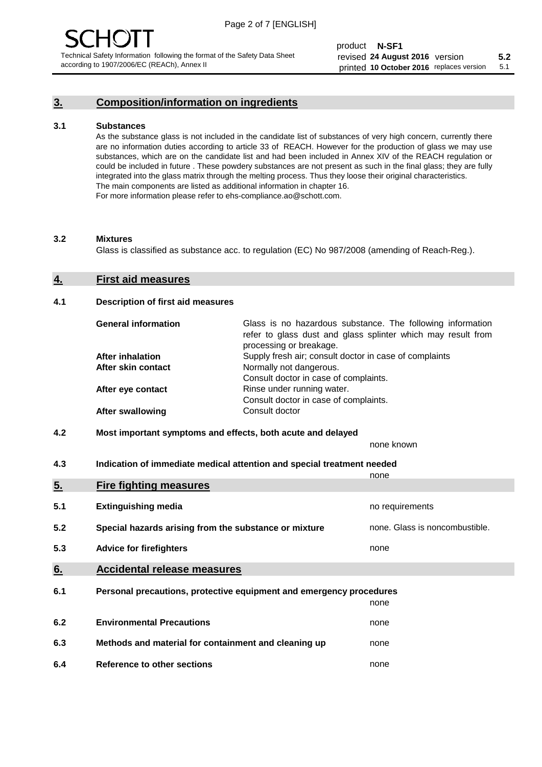## **3. Composition/information on ingredients**

## **3.1 Substances**

As the substance glass is not included in the candidate list of substances of very high concern, currently there are no information duties according to article 33 of REACH. However for the production of glass we may use substances, which are on the candidate list and had been included in Annex XIV of the REACH regulation or could be included in future . These powdery substances are not present as such in the final glass; they are fully integrated into the glass matrix through the melting process. Thus they loose their original characteristics. The main components are listed as additional information in chapter 16. For more information please refer to ehs-compliance.ao@schott.com.

## **3.2 Mixtures**

Glass is classified as substance acc. to regulation (EC) No 987/2008 (amending of Reach-Reg.).

## **4. First aid measures**

## **4.1 Description of first aid measures**

| <b>General information</b> | Glass is no hazardous substance. The following information<br>refer to glass dust and glass splinter which may result from<br>processing or breakage. |  |  |
|----------------------------|-------------------------------------------------------------------------------------------------------------------------------------------------------|--|--|
| <b>After inhalation</b>    | Supply fresh air; consult doctor in case of complaints                                                                                                |  |  |
| After skin contact         | Normally not dangerous.                                                                                                                               |  |  |
|                            | Consult doctor in case of complaints.                                                                                                                 |  |  |
| After eye contact          | Rinse under running water.                                                                                                                            |  |  |
|                            | Consult doctor in case of complaints.                                                                                                                 |  |  |
| <b>After swallowing</b>    | Consult doctor                                                                                                                                        |  |  |

## **4.2 Most important symptoms and effects, both acute and delayed**

none known

**4.3 Indication of immediate medical attention and special treatment needed** 

|     |                                                                     | none                           |  |
|-----|---------------------------------------------------------------------|--------------------------------|--|
| 5.  | <b>Fire fighting measures</b>                                       |                                |  |
| 5.1 | <b>Extinguishing media</b>                                          | no requirements                |  |
| 5.2 | Special hazards arising from the substance or mixture               | none. Glass is noncombustible. |  |
| 5.3 | <b>Advice for firefighters</b>                                      | none                           |  |
| 6.  | <b>Accidental release measures</b>                                  |                                |  |
| 6.1 | Personal precautions, protective equipment and emergency procedures |                                |  |
|     |                                                                     | none                           |  |
| 6.2 | <b>Environmental Precautions</b>                                    | none                           |  |
| 6.3 | Methods and material for containment and cleaning up                | none                           |  |
| 6.4 | Reference to other sections                                         | none                           |  |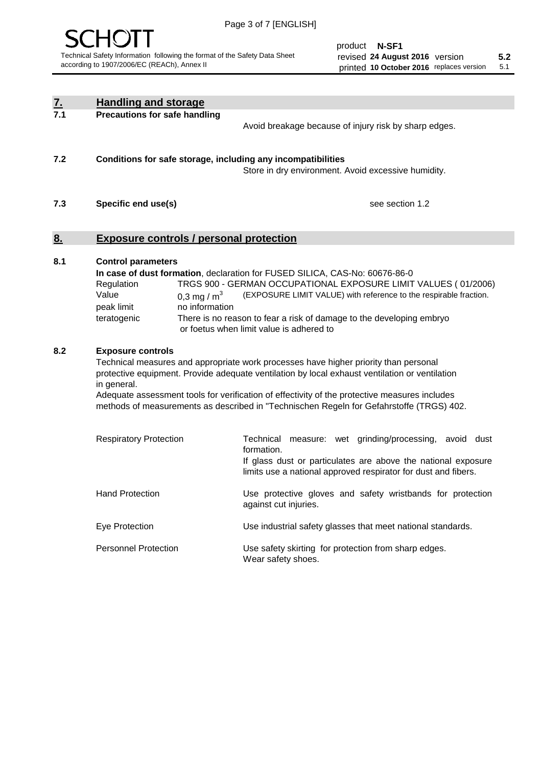

product **N-SF1** revised **5.2 24 August 2016** version printed 10 October 2016 replaces version 5.1

| $\underline{7}$ . | <b>Handling and storage</b>                                                                                                                                                                                                                                                                                                                                                                                                    |                                                                                                                                                                                                                                                                                                                                        |  |
|-------------------|--------------------------------------------------------------------------------------------------------------------------------------------------------------------------------------------------------------------------------------------------------------------------------------------------------------------------------------------------------------------------------------------------------------------------------|----------------------------------------------------------------------------------------------------------------------------------------------------------------------------------------------------------------------------------------------------------------------------------------------------------------------------------------|--|
| 7.1               | <b>Precautions for safe handling</b>                                                                                                                                                                                                                                                                                                                                                                                           | Avoid breakage because of injury risk by sharp edges.                                                                                                                                                                                                                                                                                  |  |
| 7.2               | Conditions for safe storage, including any incompatibilities                                                                                                                                                                                                                                                                                                                                                                   | Store in dry environment. Avoid excessive humidity.                                                                                                                                                                                                                                                                                    |  |
| 7.3               | Specific end use(s)                                                                                                                                                                                                                                                                                                                                                                                                            | see section 1.2                                                                                                                                                                                                                                                                                                                        |  |
| <u>8.</u>         | <b>Exposure controls / personal protection</b>                                                                                                                                                                                                                                                                                                                                                                                 |                                                                                                                                                                                                                                                                                                                                        |  |
| 8.1               | <b>Control parameters</b><br>Regulation<br>Value<br>0.3 mg / $m3$<br>peak limit<br>no information<br>teratogenic                                                                                                                                                                                                                                                                                                               | In case of dust formation, declaration for FUSED SILICA, CAS-No: 60676-86-0<br>TRGS 900 - GERMAN OCCUPATIONAL EXPOSURE LIMIT VALUES (01/2006)<br>(EXPOSURE LIMIT VALUE) with reference to the respirable fraction.<br>There is no reason to fear a risk of damage to the developing embryo<br>or foetus when limit value is adhered to |  |
| 8.2               | <b>Exposure controls</b><br>Technical measures and appropriate work processes have higher priority than personal<br>protective equipment. Provide adequate ventilation by local exhaust ventilation or ventilation<br>in general.<br>Adequate assessment tools for verification of effectivity of the protective measures includes<br>methods of measurements as described in "Technischen Regeln for Gefahrstoffe (TRGS) 402. |                                                                                                                                                                                                                                                                                                                                        |  |
|                   | <b>Respiratory Protection</b>                                                                                                                                                                                                                                                                                                                                                                                                  | Technical<br>measure: wet grinding/processing, avoid dust<br>formation.<br>If glass dust or particulates are above the national exposure<br>limits use a national approved respirator for dust and fibers.                                                                                                                             |  |
|                   | <b>Hand Protection</b>                                                                                                                                                                                                                                                                                                                                                                                                         | Use protective gloves and safety wristbands for protection<br>against cut injuries.                                                                                                                                                                                                                                                    |  |
|                   | Eye Protection                                                                                                                                                                                                                                                                                                                                                                                                                 | Use industrial safety glasses that meet national standards.                                                                                                                                                                                                                                                                            |  |
|                   | <b>Personnel Protection</b>                                                                                                                                                                                                                                                                                                                                                                                                    | Use safety skirting for protection from sharp edges.<br>Wear safety shoes.                                                                                                                                                                                                                                                             |  |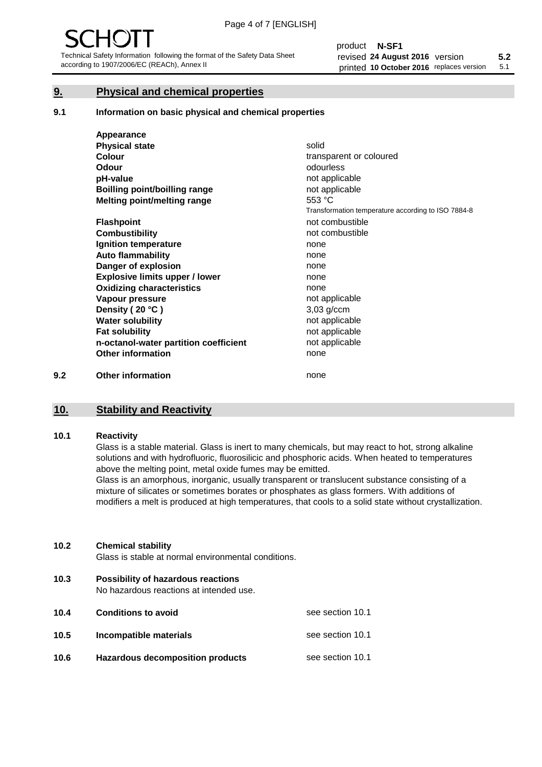## **9. Physical and chemical properties**

## **9.1 Information on basic physical and chemical properties**

|     | Appearance                            |                                                    |
|-----|---------------------------------------|----------------------------------------------------|
|     | <b>Physical state</b>                 | solid                                              |
|     | <b>Colour</b>                         | transparent or coloured                            |
|     | <b>Odour</b>                          | odourless                                          |
|     | pH-value                              | not applicable                                     |
|     | <b>Boilling point/boilling range</b>  | not applicable                                     |
|     | Melting point/melting range           | 553 °C                                             |
|     |                                       | Transformation temperature according to ISO 7884-8 |
|     | <b>Flashpoint</b>                     | not combustible                                    |
|     | <b>Combustibility</b>                 | not combustible                                    |
|     | Ignition temperature                  | none                                               |
|     | <b>Auto flammability</b>              | none                                               |
|     | Danger of explosion                   | none                                               |
|     | <b>Explosive limits upper / lower</b> | none                                               |
|     | <b>Oxidizing characteristics</b>      | none                                               |
|     | Vapour pressure                       | not applicable                                     |
|     | Density (20 °C)                       | $3,03$ g/ccm                                       |
|     | <b>Water solubility</b>               | not applicable                                     |
|     | <b>Fat solubility</b>                 | not applicable                                     |
|     | n-octanol-water partition coefficient | not applicable                                     |
|     | <b>Other information</b>              | none                                               |
| 9.2 | <b>Other information</b>              | none                                               |

## **10. Stability and Reactivity**

## **10.1 Reactivity**

Glass is a stable material. Glass is inert to many chemicals, but may react to hot, strong alkaline solutions and with hydrofluoric, fluorosilicic and phosphoric acids. When heated to temperatures above the melting point, metal oxide fumes may be emitted.

Glass is an amorphous, inorganic, usually transparent or translucent substance consisting of a mixture of silicates or sometimes borates or phosphates as glass formers. With additions of modifiers a melt is produced at high temperatures, that cools to a solid state without crystallization.

## **10.2 Chemical stability**

Glass is stable at normal environmental conditions.

**10.3 Possibility of hazardous reactions** 

No hazardous reactions at intended use.

| 10.4 | <b>Conditions to avoid</b>              | see section 10.1 |
|------|-----------------------------------------|------------------|
| 10.5 | Incompatible materials                  | see section 10.1 |
| 10.6 | <b>Hazardous decomposition products</b> | see section 10.1 |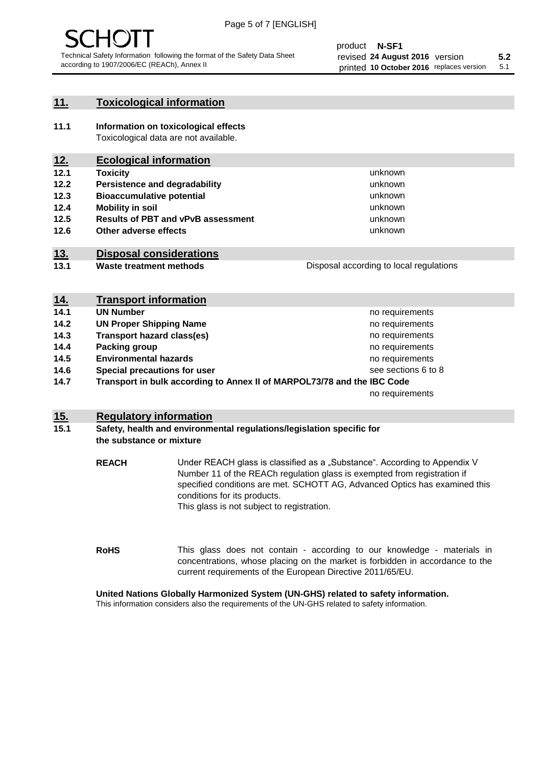## **11. Toxicological information**

**11.1 Information on toxicological effects** Toxicological data are not available.

## **12. Ecological information**

- **12.1 Toxicity**
- **12.2 Persistence and degradability**
- **12.3 Bioaccumulative potential**
- **12.4 Mobility in soil**
- **12.5 Results of PBT and vPvB assessment**
- **12.6 Other adverse effects**

## **13. Disposal considerations**

**13.1 Waste treatment methods**

| Disposal according to local regulations |  |
|-----------------------------------------|--|
|                                         |  |

unknown unknown unknown

unknown unknown unknown

| <u>14.</u> | <b>Transport information</b>                                            |                     |
|------------|-------------------------------------------------------------------------|---------------------|
| 14.1       | <b>UN Number</b>                                                        | no requirements     |
| 14.2       | <b>UN Proper Shipping Name</b>                                          | no requirements     |
| 14.3       | <b>Transport hazard class(es)</b>                                       | no requirements     |
| 14.4       | Packing group                                                           | no requirements     |
| 14.5       | <b>Environmental hazards</b>                                            | no requirements     |
| 14.6       | Special precautions for user                                            | see sections 6 to 8 |
| 14.7       | Transport in bulk according to Annex II of MARPOL73/78 and the IBC Code |                     |
|            |                                                                         | no requirements     |

## **15. Regulatory information**

## **15.1 Safety, health and environmental regulations/legislation specific for the substance or mixture**

**REACH** Under REACH glass is classified as a "Substance". According to Appendix V Number 11 of the REACh regulation glass is exempted from registration if specified conditions are met. SCHOTT AG, Advanced Optics has examined this conditions for its products. This glass is not subject to registration.

**RoHS** This glass does not contain - according to our knowledge - materials in concentrations, whose placing on the market is forbidden in accordance to the current requirements of the European Directive 2011/65/EU.

## **United Nations Globally Harmonized System (UN-GHS) related to safety information.**

This information considers also the requirements of the UN-GHS related to safety information.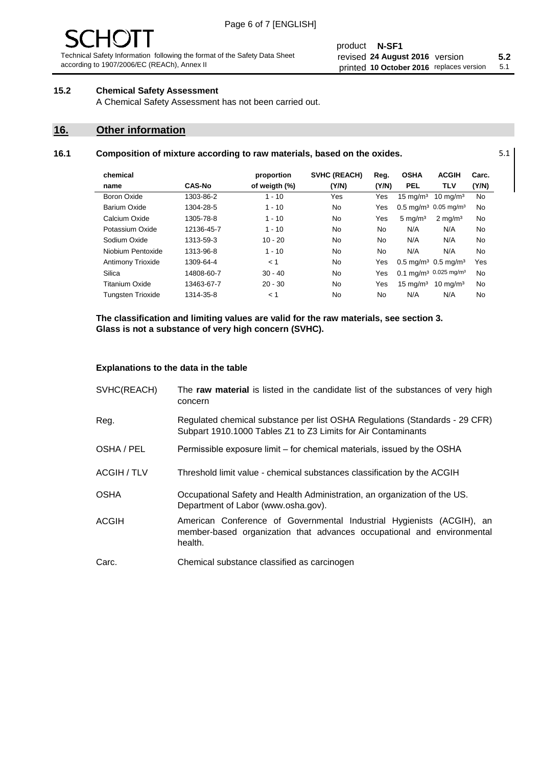## product **N-SF1** revised **5.2 24 August 2016** version printed 10 October 2016 replaces version 5.1

## **15.2 Chemical Safety Assessment**

A Chemical Safety Assessment has not been carried out.

## **16. Other information**

l.

## **16.1 Composition of mixture according to raw materials, based on the oxides.** 5.1

| chemical                 |               | proportion    | <b>SVHC (REACH)</b> | Reg.  | <b>OSHA</b>                                | <b>ACGIH</b>                                 | Carc. |
|--------------------------|---------------|---------------|---------------------|-------|--------------------------------------------|----------------------------------------------|-------|
| name                     | <b>CAS-No</b> | of weigth (%) | (Y/N)               | (Y/N) | <b>PEL</b>                                 | <b>TLV</b>                                   | (Y/N) |
| Boron Oxide              | 1303-86-2     | $1 - 10$      | Yes                 | Yes   | $15 \text{ mg/m}^3$                        | $10 \text{ mg/m}^3$                          | No    |
| Barium Oxide             | 1304-28-5     | $1 - 10$      | No                  | Yes   |                                            | $0.5 \text{ mg/m}^3$ 0.05 mg/m <sup>3</sup>  | No    |
| Calcium Oxide            | 1305-78-8     | $1 - 10$      | No                  | Yes   | $5 \text{ mg/m}^3$                         | $2 \text{ mg/m}^3$                           | No    |
| Potassium Oxide          | 12136-45-7    | $1 - 10$      | No                  | No    | N/A                                        | N/A                                          | No    |
| Sodium Oxide             | 1313-59-3     | $10 - 20$     | No                  | No    | N/A                                        | N/A                                          | No    |
| Niobium Pentoxide        | 1313-96-8     | $1 - 10$      | No                  | No    | N/A                                        | N/A                                          | No    |
| <b>Antimony Trioxide</b> | 1309-64-4     | < 1           | No                  | Yes   | $0.5 \text{ mg/m}^3$ 0.5 mg/m <sup>3</sup> |                                              | Yes   |
| Silica                   | 14808-60-7    | $30 - 40$     | No                  | Yes   |                                            | $0.1 \text{ mg/m}^3$ 0.025 mg/m <sup>3</sup> | No    |
| <b>Titanium Oxide</b>    | 13463-67-7    | $20 - 30$     | No                  | Yes   | $15 \text{ mg/m}^3$                        | $10 \text{ mg/m}^3$                          | No    |
| <b>Tungsten Trioxide</b> | 1314-35-8     | < 1           | No                  | No    | N/A                                        | N/A                                          | No    |

**The classification and limiting values are valid for the raw materials, see section 3. Glass is not a substance of very high concern (SVHC).**

### **Explanations to the data in the table**

| SVHC(REACH)        | The raw material is listed in the candidate list of the substances of very high<br>concern                                                                 |
|--------------------|------------------------------------------------------------------------------------------------------------------------------------------------------------|
| Reg.               | Regulated chemical substance per list OSHA Regulations (Standards - 29 CFR)<br>Subpart 1910.1000 Tables Z1 to Z3 Limits for Air Contaminants               |
| OSHA / PEL         | Permissible exposure limit – for chemical materials, issued by the OSHA                                                                                    |
| <b>ACGIH / TLV</b> | Threshold limit value - chemical substances classification by the ACGIH                                                                                    |
| <b>OSHA</b>        | Occupational Safety and Health Administration, an organization of the US.<br>Department of Labor (www.osha.gov).                                           |
| <b>ACGIH</b>       | American Conference of Governmental Industrial Hygienists (ACGIH), an<br>member-based organization that advances occupational and environmental<br>health. |
| Carc.              | Chemical substance classified as carcinogen                                                                                                                |